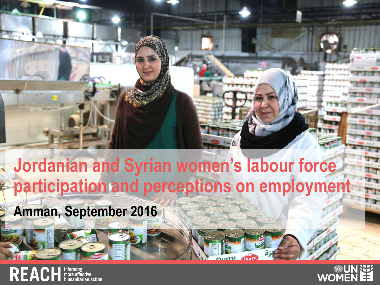

# participation and perceptions on employment **Jordanian and Syrian women's labour force**

**Amman, September 2016**

REACH **Informing** 

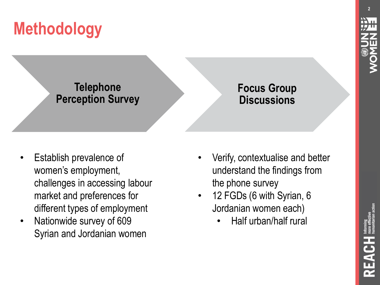### **Telephone Perception Survey**

### **Focus Group Discussions**

- Establish prevalence of women's employment, challenges in accessing labour market and preferences for different types of employment
- Nationwide survey of 609 Syrian and Jordanian women
- Verify, contextualise and better understand the findings from the phone survey
- 12 FGDs (6 with Syrian, 6 Jordanian women each)
	- Half urban/half rural

**2**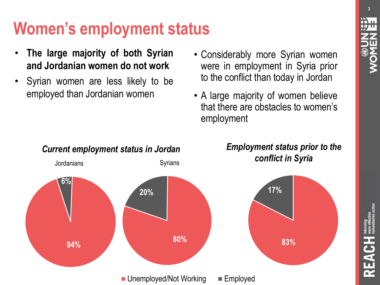**3**

### **Women's employment status**

- **The large majority of both Syrian and Jordanian women do not work**
- Syrian women are less likely to be employed than Jordanian women
- Considerably more Syrian women were in employment in Syria prior to the conflict than today in Jordan
- A large majority of women believe that there are obstacles to women's employment

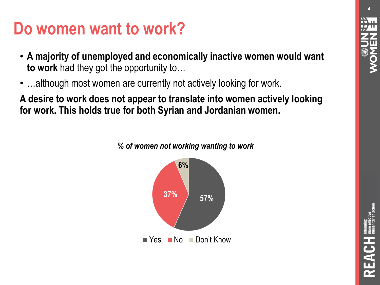### **Do women want to work?**

- **A majority of unemployed and economically inactive women would want to work** had they got the opportunity to…
- …although most women are currently not actively looking for work.

**A desire to work does not appear to translate into women actively looking for work. This holds true for both Syrian and Jordanian women.** 



*% of women not working wanting to work*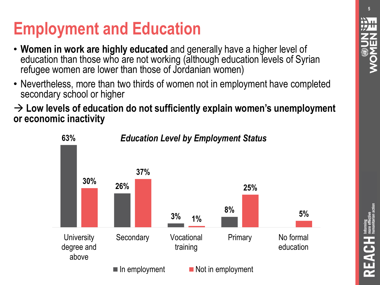## **Employment and Education**

- **Women in work are highly educated** and generally have a higher level of education than those who are not working (although education levels of Syrian refugee women are lower than those of Jordanian women)
- Nevertheless, more than two thirds of women not in employment have completed secondary school or higher

 **Low levels of education do not sufficiently explain women's unemployment or economic inactivity**



#### *Education Level by Employment Status*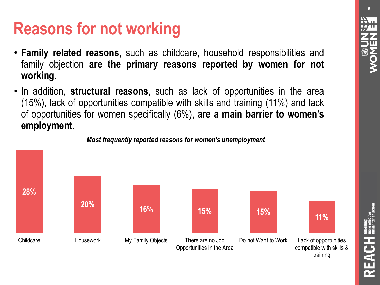REACH

### **Reasons for not working**

- **Family related reasons,** such as childcare, household responsibilities and family objection **are the primary reasons reported by women for not working.**
- In addition, **structural reasons**, such as lack of opportunities in the area (15%), lack of opportunities compatible with skills and training (11%) and lack of opportunities for women specifically (6%), **are a main barrier to women's employment**.



*Most frequently reported reasons for women's unemployment*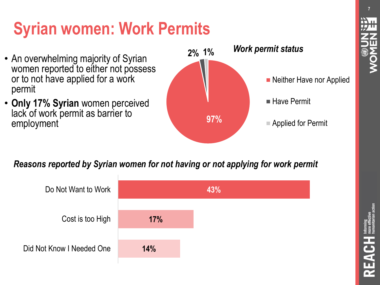# **Syrian women: Work Permits**

- An overwhelming majority of Syrian women reported to either not possess or to not have applied for a work permit
- **Only 17% Syrian** women perceived lack of work permit as barrier to employment **1986**



#### *Reasons reported by Syrian women for not having or not applying for work permit*



**7**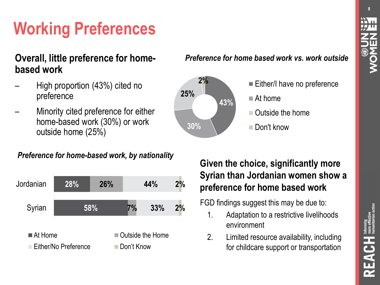# **Working Preferences**

#### **Overall, little preference for homebased work**

- High proportion (43%) cited no preference
- Minority cited preference for either home-based work (30%) or work outside home (25%)

#### *Preference for home based work vs. work outside*



#### *Preference for home-based work, by nationality*



#### **Given the choice, significantly more Syrian than Jordanian women show a preference for home based work**

#### FGD findings suggest this may be due to:

- 1. Adaptation to a restrictive livelihoods environment
- 2. Limited resource availability, including for childcare support or transportation